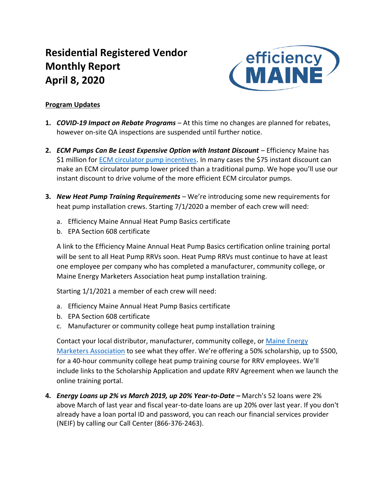# **Residential Registered Vendor Monthly Report April 8, 2020**



# **Program Updates**

- **1.** *COVID-19 Impact on Rebate Programs*  At this time no changes are planned for rebates, however on-site QA inspections are suspended until further notice.
- **2.** *ECM Pumps Can Be Least Expensive Option with Instant Discount* Efficiency Maine has \$1 million for [ECM circulator pump incentives.](https://www.efficiencymaine.com/ecm-circulator-pump-rebate/) In many cases the \$75 instant discount can make an ECM circulator pump lower priced than a traditional pump. We hope you'll use our instant discount to drive volume of the more efficient ECM circulator pumps.
- **3.** *New Heat Pump Training Requirements* We're introducing some new requirements for heat pump installation crews. Starting 7/1/2020 a member of each crew will need:
	- a. Efficiency Maine Annual Heat Pump Basics certificate
	- b. EPA Section 608 certificate

A link to the Efficiency Maine Annual Heat Pump Basics certification online training portal will be sent to all Heat Pump RRVs soon. Heat Pump RRVs must continue to have at least one employee per company who has completed a manufacturer, community college, or Maine Energy Marketers Association heat pump installation training.

Starting 1/1/2021 a member of each crew will need:

- a. Efficiency Maine Annual Heat Pump Basics certificate
- b. EPA Section 608 certificate
- c. Manufacturer or community college heat pump installation training

Contact your local distributor, manufacturer, community college, or [Maine Energy](https://mtecenter.com/courses/)  [Marketers Association](https://mtecenter.com/courses/) to see what they offer. We're offering a 50% scholarship, up to \$500, for a 40-hour community college heat pump training course for RRV employees. We'll include links to the Scholarship Application and update RRV Agreement when we launch the online training portal.

**4.** *Energy Loans up 2% vs March 2019, up 20% Year-to-Date –* March's 52 loans were 2% above March of last year and fiscal year-to-date loans are up 20% over last year. If you don't already have a loan portal ID and password, you can reach our financial services provider (NEIF) by calling our Call Center (866-376-2463).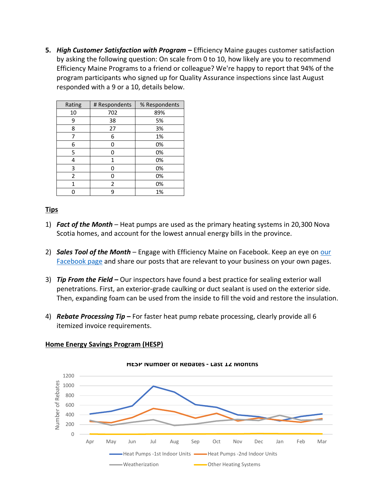**5.** *High Customer Satisfaction with Program* **–** Efficiency Maine gauges customer satisfaction by asking the following question: On scale from 0 to 10, how likely are you to recommend Efficiency Maine Programs to a friend or colleague? We're happy to report that 94% of the program participants who signed up for Quality Assurance inspections since last August responded with a 9 or a 10, details below.

| Rating | # Respondents | % Respondents |  |  |  |  |
|--------|---------------|---------------|--|--|--|--|
| 10     | 702           | 89%           |  |  |  |  |
| 9      | 38            | 5%            |  |  |  |  |
| 8      | 27            | 3%            |  |  |  |  |
| 7      | 6             | 1%            |  |  |  |  |
| 6      | 0             | 0%            |  |  |  |  |
| 5      | ი             | 0%            |  |  |  |  |
| 4      | 1             | 0%            |  |  |  |  |
| 3      | ი             | 0%            |  |  |  |  |
| 2      | n             | 0%            |  |  |  |  |
| 1      | 2             | 0%            |  |  |  |  |
|        | q             | 1%            |  |  |  |  |

# **Tips**

- 1) *Fact of the Month* Heat pumps are used as the primary heating systems in 20,300 Nova Scotia homes, and account for the lowest annual energy bills in the province.
- 2) **Sales Tool of the Month** Engage with Efficiency Maine on Facebook. Keep an eye on our [Facebook page](https://www.facebook.com/EfficiencyMaine) and share our posts that are relevant to your business on your own pages.
- 3) *Tip From the Field –* Our inspectors have found a best practice for sealing exterior wall penetrations. First, an exterior-grade caulking or duct sealant is used on the exterior side. Then, expanding foam can be used from the inside to fill the void and restore the insulation.
- 4) *Rebate Processing Tip* **–** For faster heat pump rebate processing, clearly provide all 6 itemized invoice requirements.



#### **Home Energy Savings Program (HESP)**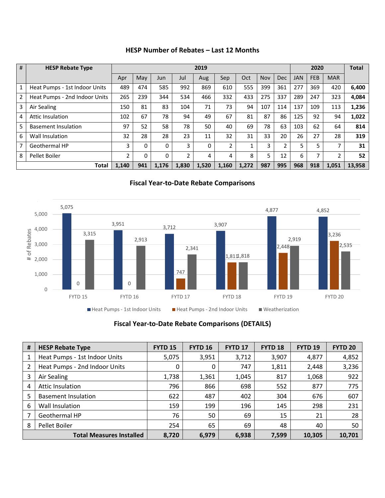| #              | <b>HESP Rebate Type</b>       | 2019  |     |       |       |          |       |       | <b>Total</b> |              |            |            |            |        |
|----------------|-------------------------------|-------|-----|-------|-------|----------|-------|-------|--------------|--------------|------------|------------|------------|--------|
|                |                               | Apr   | May | Jun   | Jul   | Aug      | Sep   | Oct   | Nov          | <b>Dec</b>   | <b>JAN</b> | <b>FEB</b> | <b>MAR</b> |        |
| 1              | Heat Pumps - 1st Indoor Units | 489   | 474 | 585   | 992   | 869      | 610   | 555   | 399          | 361          | 277        | 369        | 420        | 6,400  |
| 2              | Heat Pumps - 2nd Indoor Units | 265   | 239 | 344   | 534   | 466      | 332   | 433   | 275          | 337          | 289        | 247        | 323        | 4,084  |
| $\mathbf{3}$   | Air Sealing                   | 150   | 81  | 83    | 104   | 71       | 73    | 94    | 107          | 114          | 137        | 109        | 113        | 1,236  |
| $\overline{4}$ | <b>Attic Insulation</b>       | 102   | 67  | 78    | 94    | 49       | 67    | 81    | 87           | 86           | 125        | 92         | 94         | 1,022  |
| 5              | <b>Basement Insulation</b>    | 97    | 52  | 58    | 78    | 50       | 40    | 69    | 78           | 63           | 103        | 62         | 64         | 814    |
| 6              | Wall Insulation               | 32    | 28  | 28    | 23    | 11       | 32    | 31    | 33           | 20           | 26         | 27         | 28         | 319    |
| $\overline{7}$ | Geothermal HP                 | 3     | 0   | 0     | 3     | $\Omega$ | 2     |       | 3            | $\mathbf{2}$ | 5          | 5          | 7          | 31     |
| 8              | Pellet Boiler                 | 2     | 0   | 0     | 2     | 4        | 4     | 8     | 5            | 12           | 6          | 7          | 2          | 52     |
|                | <b>Total</b>                  | 1.140 | 941 | 1.176 | 1.830 | 1.520    | 1.160 | 1.272 | 987          | 995          | 968        | 918        | 1.051      | 13.958 |

### **HESP Number of Rebates – Last 12 Months**

**Fiscal Year-to-Date Rebate Comparisons**



# **Fiscal Year-to-Date Rebate Comparisons (DETAILS)**

| # | <b>HESP Rebate Type</b>         | <b>FYTD 15</b> | <b>FYTD 16</b> | <b>FYTD 17</b> | FYTD <sub>18</sub> | <b>FYTD 19</b> | <b>FYTD 20</b> |
|---|---------------------------------|----------------|----------------|----------------|--------------------|----------------|----------------|
|   | Heat Pumps - 1st Indoor Units   | 5,075          | 3,951          | 3,712          | 3,907              | 4,877          | 4,852          |
|   | Heat Pumps - 2nd Indoor Units   | 0              | 0              | 747            | 1,811              | 2,448          | 3,236          |
| 3 | Air Sealing                     | 1,738          | 1,361          | 1,045          | 817                | 1,068          | 922            |
| 4 | <b>Attic Insulation</b>         | 796            | 866            | 698            | 552                | 877            | 775            |
| 5 | <b>Basement Insulation</b>      | 622            | 487            | 402            | 304                | 676            | 607            |
| 6 | Wall Insulation                 | 159            | 199            | 196            | 145                | 298            | 231            |
|   | Geothermal HP                   | 76             | 50             | 69             | 15                 | 21             | 28             |
| 8 | Pellet Boiler                   | 254            | 65             | 69             | 48                 | 40             | 50             |
|   | <b>Total Measures Installed</b> | 8,720          | 6,979          | 6,938          | 7,599              | 10,305         | 10,701         |